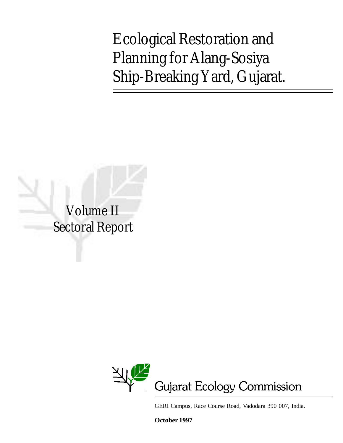Ecological Restoration and Planning for Alang-Sosiya Ship-Breaking Yard, Gujarat.

Volume II Sectoral Report



GERI Campus, Race Course Road, Vadodara 390 007, India.

**October 1997**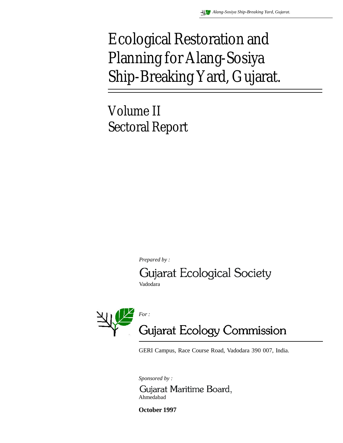# Ecological Restoration and Planning for Alang-Sosiya Ship-Breaking Yard, Gujarat.

Volume II Sectoral Report

*Prepared by :*

Gujarat Ecological Society

Vadodara



GERI Campus, Race Course Road, Vadodara 390 007, India.

*Sponsored by :*

Gujarat Maritime Board, Ahmedabad

**October 1997**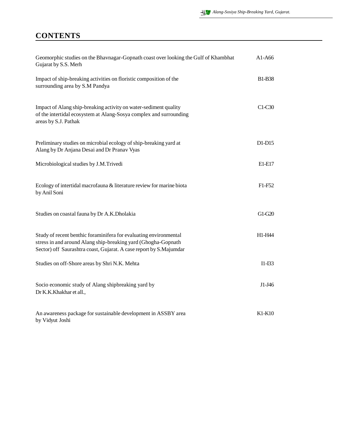## **CONTENTS**

| Geomorphic studies on the Bhavnagar-Gopnath coast over looking the Gulf of Khambhat<br>Gujarat by S.S. Merh                                                                                              | $A1-A66$                        |
|----------------------------------------------------------------------------------------------------------------------------------------------------------------------------------------------------------|---------------------------------|
| Impact of ship-breaking activities on floristic composition of the<br>surrounding area by S.M Pandya                                                                                                     | <b>B1-B38</b>                   |
| Impact of Alang ship-breaking activity on water-sediment quality<br>of the intertidal ecosystem at Alang-Sosya complex and surrounding<br>areas by S.J. Pathak                                           | $C1-C30$                        |
| Preliminary studies on microbial ecology of ship-breaking yard at<br>Alang by Dr Anjana Desai and Dr Pranav Vyas                                                                                         | $D1-D15$                        |
| Microbiological studies by J.M.Trivedi                                                                                                                                                                   | E1-E17                          |
| Ecology of intertidal macrofauna & literature review for marine biota<br>by Anil Soni                                                                                                                    | F <sub>1</sub> -F <sub>52</sub> |
| Studies on coastal fauna by Dr A.K.Dholakia                                                                                                                                                              | G1-G20                          |
| Study of recent benthic foraminifera for evaluating environmental<br>stress in and around Alang ship-breaking yard (Ghogha-Gopnath<br>Sector) off Saurashtra coast, Gujarat. A case report by S.Majumdar | H1-H44                          |
| Studies on off-Shore areas by Shri N.K. Mehta                                                                                                                                                            | $I1-I33$                        |
| Socio economic study of Alang shipbreaking yard by<br>Dr K.K.Khakhar et all.,                                                                                                                            | J1-J46                          |
| An awareness package for sustainable development in ASSBY area<br>by Vidyut Joshi                                                                                                                        | $K1-K10$                        |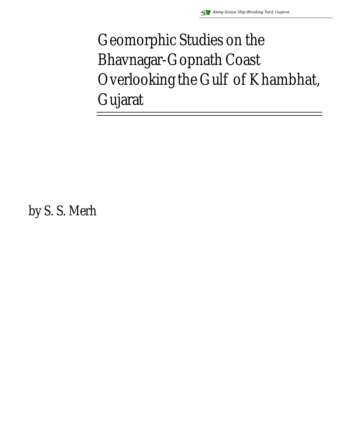# Geomorphic Studies on the Bhavnagar-Gopnath Coast Overlooking the Gulf of Khambhat, Gujarat

by S. S. Merh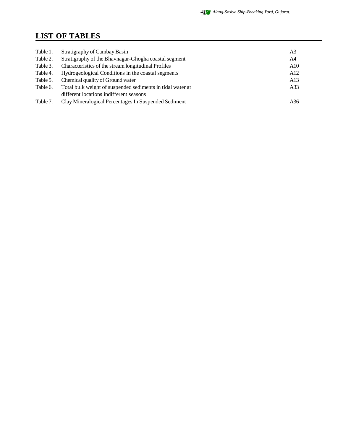## **LIST OF TABLES**

| Table 1. | Stratigraphy of Cambay Basin                               | A3  |
|----------|------------------------------------------------------------|-----|
| Table 2. | Stratigraphy of the Bhaynagar-Ghogha coastal segment       | A4  |
| Table 3. | Characteristics of the stream longitudinal Profiles        | A10 |
| Table 4. | Hydrogeological Conditions in the coastal segments         | A12 |
| Table 5. | Chemical quality of Ground water                           | A13 |
| Table 6. | Total bulk weight of suspended sediments in tidal water at | A33 |
|          | different locations indifferent seasons                    |     |
| Table 7. | Clay Mineralogical Percentages In Suspended Sediment       | A36 |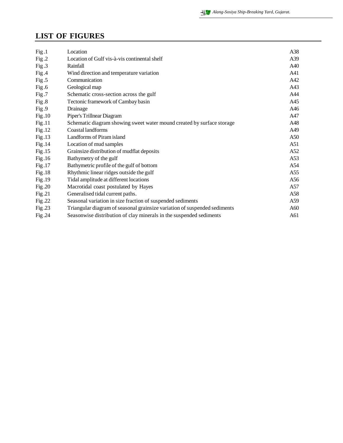#### **LIST OF FIGURES**

| Fig.1  | Location                                                                  | A38 |
|--------|---------------------------------------------------------------------------|-----|
| Fig.2  | Location of Gulf vis-à-vis continental shelf                              | A39 |
| Fig.3  | Rainfall                                                                  | A40 |
| Fig.4  | Wind direction and temperature variation                                  | A41 |
| Fig.5  | Communication                                                             | A42 |
| Fig.6  | Geological map                                                            | A43 |
| Fig.7  | Schematic cross-section across the gulf                                   | A44 |
| Fig.8  | Tectonic framework of Cambay basin                                        | A45 |
| Fig.9  | Drainage                                                                  | A46 |
| Fig.10 | Piper's Trillnear Diagram                                                 | A47 |
| Fig.11 | Schematic diagram showing sweet water mound created by surface storage    | A48 |
| Fig.12 | Coastal landforms                                                         | A49 |
| Fig.13 | Landforms of Piram island                                                 | A50 |
| Fig.14 | Location of mud samples                                                   | A51 |
| Fig.15 | Grainsize distribution of mudflat deposits                                | A52 |
| Fig.16 | Bathymetry of the gulf                                                    | A53 |
| Fig.17 | Bathymetric profile of the gulf of bottom                                 | A54 |
| Fig.18 | Rhythmic linear ridges outside the gulf                                   | A55 |
| Fig.19 | Tidal amplitude at different locations                                    | A56 |
| Fig.20 | Macrotidal coast postulated by Hayes                                      | A57 |
| Fig.21 | Generalised tidal current paths.                                          | A58 |
| Fig.22 | Seasonal variation in size fraction of suspended sediments                | A59 |
| Fig.23 | Triangular diagram of seasonal grainsize variation of suspended sediments | A60 |
| Fig.24 | Seasonwise distribution of clay minerals in the suspended sediments       | A61 |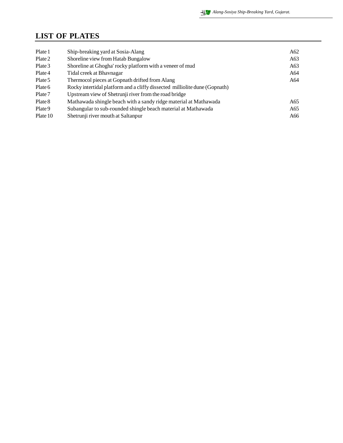#### **LIST OF PLATES**

| Plate 1  | Ship-breaking yard at Sosia-Alang                                          | A62 |
|----------|----------------------------------------------------------------------------|-----|
| Plate 2  | Shoreline view from Hatab Bungalow                                         | A63 |
| Plate 3  | Shoreline at Ghogha' rocky platform with a veneer of mud                   | A63 |
| Plate 4  | Tidal creek at Bhavnagar                                                   | A64 |
| Plate 5  | Thermocol pieces at Gopnath drifted from Alang                             | A64 |
| Plate 6  | Rocky intertidal platform and a cliffy dissected milliolite dune (Gopnath) |     |
| Plate 7  | Upstream view of Shetrunji river from the road bridge                      |     |
| Plate 8  | Mathawada shingle beach with a sandy ridge material at Mathawada           | A65 |
| Plate 9  | Subangular to sub-rounded shingle beach material at Mathawada              | A65 |
| Plate 10 | Shetrunii river mouth at Saltanpur                                         | A66 |